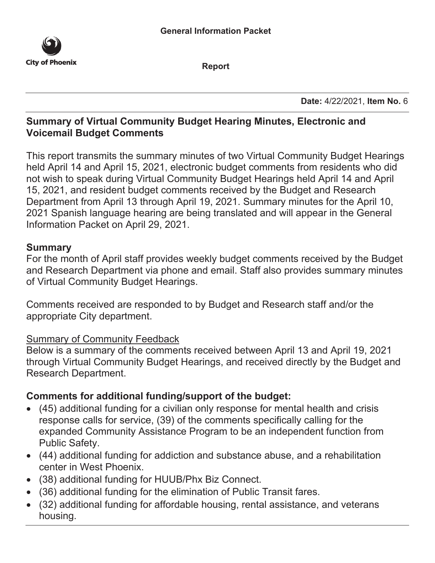

**Report**

**Date:** 4/22/2021, **Item No.** 6

#### **Summary of Virtual Community Budget Hearing Minutes, Electronic and Voicemail Budget Comments**

This report transmits the summary minutes of two Virtual Community Budget Hearings held April 14 and April 15, 2021, electronic budget comments from residents who did not wish to speak during Virtual Community Budget Hearings held April 14 and April 15, 2021, and resident budget comments received by the Budget and Research Department from April 13 through April 19, 2021. Summary minutes for the April 10, 2021 Spanish language hearing are being translated and will appear in the General Information Packet on April 29, 2021.

#### **Summary**

For the month of April staff provides weekly budget comments received by the Budget and Research Department via phone and email. Staff also provides summary minutes of Virtual Community Budget Hearings.

Comments received are responded to by Budget and Research staff and/or the appropriate City department.

#### Summary of Community Feedback

Below is a summary of the comments received between April 13 and April 19, 2021 through Virtual Community Budget Hearings, and received directly by the Budget and Research Department.

#### **Comments for additional funding/support of the budget:**

- (45) additional funding for a civilian only response for mental health and crisis response calls for service, (39) of the comments specifically calling for the expanded Community Assistance Program to be an independent function from Public Safety.
- (44) additional funding for addiction and substance abuse, and a rehabilitation center in West Phoenix.
- (38) additional funding for HUUB/Phx Biz Connect.
- (36) additional funding for the elimination of Public Transit fares.
- (32) additional funding for affordable housing, rental assistance, and veterans housing.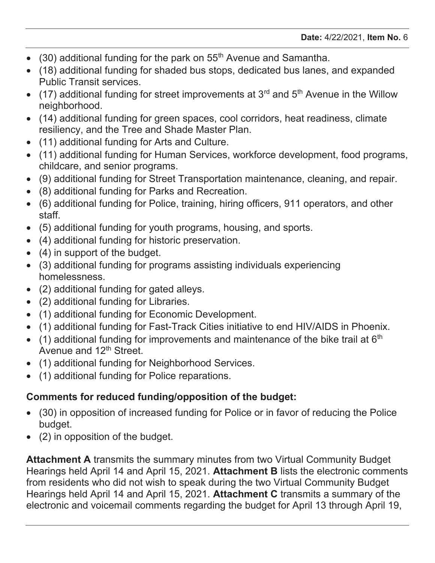- $(30)$  additional funding for the park on 55<sup>th</sup> Avenue and Samantha.
- (18) additional funding for shaded bus stops, dedicated bus lanes, and expanded Public Transit services.
- $\bullet$  (17) additional funding for street improvements at 3<sup>rd</sup> and 5<sup>th</sup> Avenue in the Willow neighborhood.
- (14) additional funding for green spaces, cool corridors, heat readiness, climate resiliency, and the Tree and Shade Master Plan.
- (11) additional funding for Arts and Culture.
- (11) additional funding for Human Services, workforce development, food programs, childcare, and senior programs.
- (9) additional funding for Street Transportation maintenance, cleaning, and repair.
- (8) additional funding for Parks and Recreation.
- (6) additional funding for Police, training, hiring officers, 911 operators, and other staff.
- (5) additional funding for youth programs, housing, and sports.
- (4) additional funding for historic preservation.
- $\bullet$  (4) in support of the budget.
- (3) additional funding for programs assisting individuals experiencing homelessness.
- (2) additional funding for gated alleys.
- (2) additional funding for Libraries.
- (1) additional funding for Economic Development.
- (1) additional funding for Fast-Track Cities initiative to end HIV/AIDS in Phoenix.
- $\bullet$  (1) additional funding for improvements and maintenance of the bike trail at 6<sup>th</sup> Avenue and 12<sup>th</sup> Street.
- (1) additional funding for Neighborhood Services.
- (1) additional funding for Police reparations.

# **Comments for reduced funding/opposition of the budget:**

- (30) in opposition of increased funding for Police or in favor of reducing the Police budget.
- $\bullet$  (2) in opposition of the budget.

**[Attachment A](#page-4-0)** transmits the summary minutes from two Virtual Community Budget Hearings held April 14 and April 15, 2021. **[Attachment B](#page-18-0)** lists the electronic comments from residents who did not wish to speak during the two Virtual Community Budget Hearings held April 14 and April 15, 2021. **[Attachment C](#page-29-0)** transmits a summary of the electronic and voicemail comments regarding the budget for April 13 through April 19,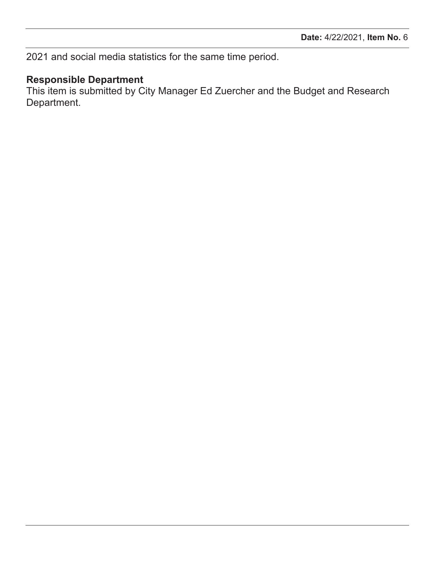2021 and social media statistics for the same time period.

# **Responsible Department**

This item is submitted by City Manager Ed Zuercher and the Budget and Research Department.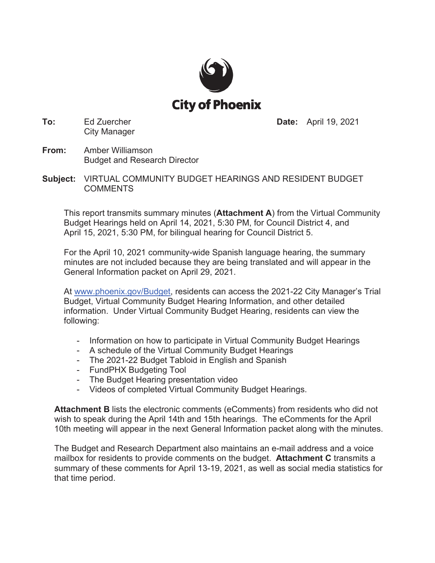

**To:** Ed Zuercher City Manager **Date:** April 19, 2021

- **From:** Amber Williamson Budget and Research Director
- **Subject:** VIRTUAL COMMUNITY BUDGET HEARINGS AND RESIDENT BUDGET COMMENTS

This report transmits summary minutes (**Attachment A**) from the Virtual Community Budget Hearings held on April 14, 202[1, 5:30 PM, for Coun](#page-4-0)cil District 4, and April 15, 2021, 5:30 PM, for bilingual hearing for Council District 5.

For the April 10, 2021 community-wide Spanish language hearing, the summary minutes are not included because they are being translated and will appear in the General Information packet on April 29, 2021.

[At www.phoenix.gov/Budget,](www.phoenix.gov/Budget) residents can access the 2021-22 City Manager's Trial Budget, Virtual Community Budget Hearing Information, and other detailed information. Under Virtual Community Budget Hearing, residents can view the following:

- Information on how to participate in Virtual Community Budget Hearings
- A schedule of the Virtual Community Budget Hearings
- The 2021-22 Budget Tabloid in English and Spanish
- FundPHX Budgeting Tool
- The Budget Hearing presentation video
- Videos of completed Virtual Community Budget Hearings.

**Attachment B** lists the electronic comments (eComments) from residents who did not [wish to speak duri](#page-18-0)ng the April 14th and 15th hearings. The eComments for the April 10th meeting will appear in the next General Information packet along with the minutes.

The Budget and Research Department also maintains a[n e-mail address and a](#page-29-0) voice mailbox for residents to provide comments on the budget. **Attachment C** transmits a summary of these comments for April 13-19, 2021, as well as social media statistics for that time period.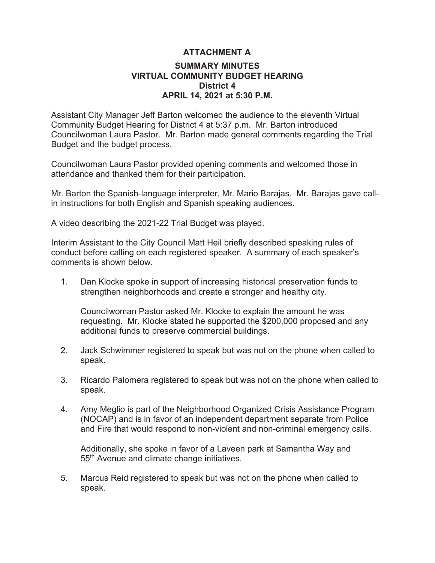#### **SUMMARY MINUTES VIRTUAL COMMUNITY BUDGET HEARING District 4 APRIL 14, 2021 at 5:30 P.M. ATTACHMENT A**

<span id="page-4-0"></span>Assistant City Manager Jeff Barton welcomed the audience to the eleventh Virtual Community Budget Hearing for District 4 at 5:37 p.m. Mr. Barton introduced Councilwoman Laura Pastor. Mr. Barton made general comments regarding the Trial Budget and the budget process.

Councilwoman Laura Pastor provided opening comments and welcomed those in attendance and thanked them for their participation.

Mr. Barton the Spanish-language interpreter, Mr. Mario Barajas. Mr. Barajas gave callin instructions for both English and Spanish speaking audiences.

A video describing the 2021-22 Trial Budget was played.

Interim Assistant to the City Council Matt Heil briefly described speaking rules of conduct before calling on each registered speaker. A summary of each speaker's comments is shown below.

1. Dan Klocke spoke in support of increasing historical preservation funds to strengthen neighborhoods and create a stronger and healthy city.

Councilwoman Pastor asked Mr. Klocke to explain the amount he was requesting. Mr. Klocke stated he supported the \$200,000 proposed and any additional funds to preserve commercial buildings.

- 2. Jack Schwimmer registered to speak but was not on the phone when called to speak.
- 3. Ricardo Palomera registered to speak but was not on the phone when called to speak.
- 4. Amy Meglio is part of the Neighborhood Organized Crisis Assistance Program (NOCAP) and is in favor of an independent department separate from Police and Fire that would respond to non-violent and non-criminal emergency calls.

Additionally, she spoke in favor of a Laveen park at Samantha Way and 55th Avenue and climate change initiatives.

5. Marcus Reid registered to speak but was not on the phone when called to speak.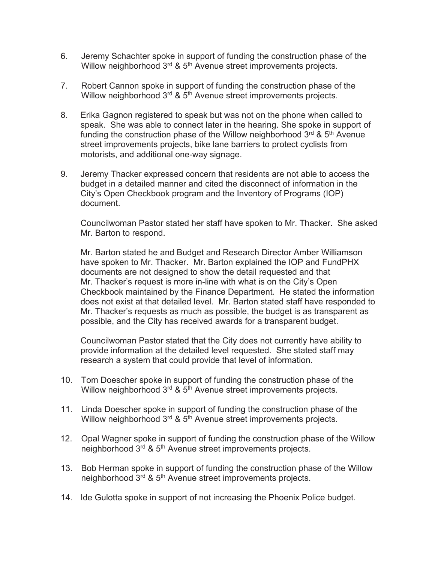- 6. Jeremy Schachter spoke in support of funding the construction phase of the Willow neighborhood 3<sup>rd</sup> & 5<sup>th</sup> Avenue street improvements projects.
- 7. Robert Cannon spoke in support of funding the construction phase of the Willow neighborhood 3<sup>rd</sup> & 5<sup>th</sup> Avenue street improvements projects.
- 8. Erika Gagnon registered to speak but was not on the phone when called to speak. She was able to connect later in the hearing. She spoke in support of funding the construction phase of the Willow neighborhood  $3<sup>rd</sup>$  &  $5<sup>th</sup>$  Avenue street improvements projects, bike lane barriers to protect cyclists from motorists, and additional one-way signage.
- 9. Jeremy Thacker expressed concern that residents are not able to access the budget in a detailed manner and cited the disconnect of information in the City's Open Checkbook program and the Inventory of Programs (IOP) document.

Councilwoman Pastor stated her staff have spoken to Mr. Thacker. She asked Mr. Barton to respond.

Mr. Barton stated he and Budget and Research Director Amber Williamson have spoken to Mr. Thacker. Mr. Barton explained the IOP and FundPHX documents are not designed to show the detail requested and that Mr. Thacker's request is more in-line with what is on the City's Open Checkbook maintained by the Finance Department. He stated the information does not exist at that detailed level. Mr. Barton stated staff have responded to Mr. Thacker's requests as much as possible, the budget is as transparent as possible, and the City has received awards for a transparent budget.

Councilwoman Pastor stated that the City does not currently have ability to provide information at the detailed level requested. She stated staff may research a system that could provide that level of information.

- 10. Tom Doescher spoke in support of funding the construction phase of the Willow neighborhood 3<sup>rd</sup> & 5<sup>th</sup> Avenue street improvements projects.
- 11. Linda Doescher spoke in support of funding the construction phase of the Willow neighborhood 3<sup>rd</sup> & 5<sup>th</sup> Avenue street improvements projects.
- 12. Opal Wagner spoke in support of funding the construction phase of the Willow neighborhood 3<sup>rd</sup> & 5<sup>th</sup> Avenue street improvements projects.
- 13. Bob Herman spoke in support of funding the construction phase of the Willow neighborhood 3rd & 5th Avenue street improvements projects.
- 14. Ide Gulotta spoke in support of not increasing the Phoenix Police budget.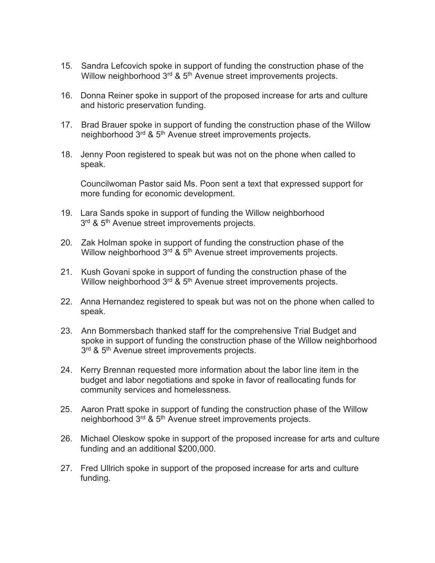- 15. Sandra Lefcovich spoke in support of funding the construction phase of the Willow neighborhood 3<sup>rd</sup> & 5<sup>th</sup> Avenue street improvements projects.
- 16. Donna Reiner spoke in support of the proposed increase for arts and culture and historic preservation funding.
- 17. Brad Brauer spoke in support of funding the construction phase of the Willow neighborhood 3rd & 5th Avenue street improvements projects.
- 18. Jenny Poon registered to speak but was not on the phone when called to speak.

Councilwoman Pastor said Ms. Poon sent a text that expressed support for more funding for economic development.

- 19. Lara Sands spoke in support of funding the Willow neighborhood 3<sup>rd</sup> & 5<sup>th</sup> Avenue street improvements projects.
- 20. Zak Holman spoke in support of funding the construction phase of the Willow neighborhood 3<sup>rd</sup> & 5<sup>th</sup> Avenue street improvements projects.
- 21. Kush Govani spoke in support of funding the construction phase of the Willow neighborhood 3<sup>rd</sup> & 5<sup>th</sup> Avenue street improvements projects.
- 22. Anna Hernandez registered to speak but was not on the phone when called to speak.
- 23. Ann Bommersbach thanked staff for the comprehensive Trial Budget and spoke in support of funding the construction phase of the Willow neighborhood 3<sup>rd</sup> & 5<sup>th</sup> Avenue street improvements projects.
- 24. Kerry Brennan requested more information about the labor line item in the budget and labor negotiations and spoke in favor of reallocating funds for community services and homelessness.
- 25. Aaron Pratt spoke in support of funding the construction phase of the Willow neighborhood 3rd & 5th Avenue street improvements projects.
- 26. Michael Oleskow spoke in support of the proposed increase for arts and culture funding and an additional \$200,000.
- 27. Fred Ullrich spoke in support of the proposed increase for arts and culture funding.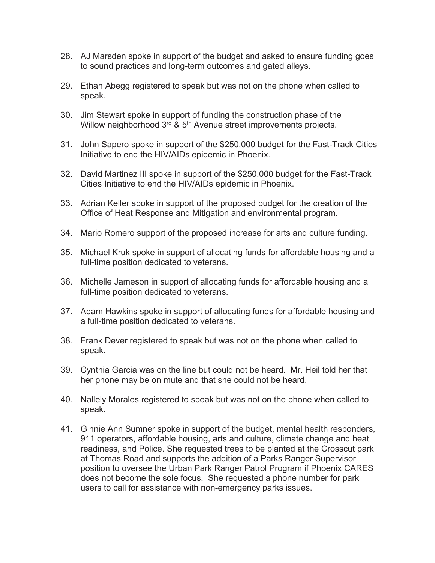- AJ Marsden spoke in support of the budget and asked to ensure funding goes to sound practices and long-term outcomes and gated alleys.
- Ethan Abegg registered to speak but was not on the phone when called to speak.
- 30. Jim Stewart spoke in support of funding the construction phase of the Willow neighborhood 3<sup>rd</sup> & 5<sup>th</sup> Avenue street improvements projects.
- John Sapero spoke in support of the \$250,000 budget for the Fast-Track Cities Initiative to end the HIV/AIDs epidemic in Phoenix.
- David Martinez III spoke in support of the \$250,000 budget for the Fast-Track Cities Initiative to end the HIV/AIDs epidemic in Phoenix.
- Adrian Keller spoke in support of the proposed budget for the creation of the Office of Heat Response and Mitigation and environmental program.
- Mario Romero support of the proposed increase for arts and culture funding.
- Michael Kruk spoke in support of allocating funds for affordable housing and a full-time position dedicated to veterans.
- Michelle Jameson in support of allocating funds for affordable housing and a full-time position dedicated to veterans.
- 37. Adam Hawkins spoke in support of allocating funds for affordable housing and a full-time position dedicated to veterans.
- Frank Dever registered to speak but was not on the phone when called to speak.
- Cynthia Garcia was on the line but could not be heard. Mr. Heil told her that her phone may be on mute and that she could not be heard.
- 40. Nallely Morales registered to speak but was not on the phone when called to speak.
- 41. Ginnie Ann Sumner spoke in support of the budget, mental health responders, 911 operators, affordable housing, arts and culture, climate change and heat readiness, and Police. She requested trees to be planted at the Crosscut park at Thomas Road and supports the addition of a Parks Ranger Supervisor position to oversee the Urban Park Ranger Patrol Program if Phoenix CARES does not become the sole focus. She requested a phone number for park users to call for assistance with non-emergency parks issues.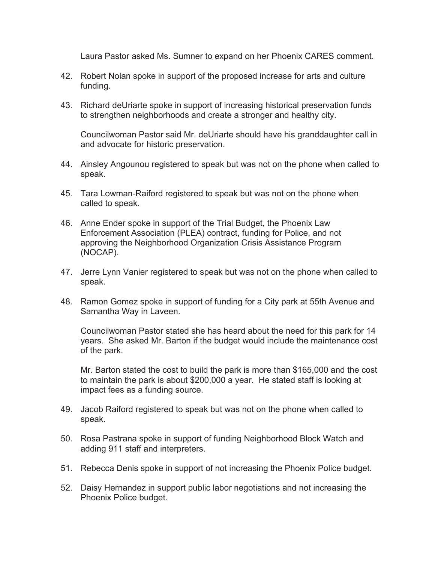Laura Pastor asked Ms. Sumner to expand on her Phoenix CARES comment.

- 42. Robert Nolan spoke in support of the proposed increase for arts and culture funding.
- 43. Richard deUriarte spoke in support of increasing historical preservation funds to strengthen neighborhoods and create a stronger and healthy city.

Councilwoman Pastor said Mr. deUriarte should have his granddaughter call in and advocate for historic preservation.

- 44. Ainsley Angounou registered to speak but was not on the phone when called to speak.
- 45. Tara Lowman-Raiford registered to speak but was not on the phone when called to speak.
- 46. Anne Ender spoke in support of the Trial Budget, the Phoenix Law Enforcement Association (PLEA) contract, funding for Police, and not approving the Neighborhood Organization Crisis Assistance Program (NOCAP).
- 47. Jerre Lynn Vanier registered to speak but was not on the phone when called to speak.
- 48. Ramon Gomez spoke in support of funding for a City park at 55th Avenue and Samantha Way in Laveen.

Councilwoman Pastor stated she has heard about the need for this park for 14 years. She asked Mr. Barton if the budget would include the maintenance cost of the park.

Mr. Barton stated the cost to build the park is more than \$165,000 and the cost to maintain the park is about \$200,000 a year. He stated staff is looking at impact fees as a funding source.

- 49. Jacob Raiford registered to speak but was not on the phone when called to speak.
- 50. Rosa Pastrana spoke in support of funding Neighborhood Block Watch and adding 911 staff and interpreters.
- 51. Rebecca Denis spoke in support of not increasing the Phoenix Police budget.
- 52. Daisy Hernandez in support public labor negotiations and not increasing the Phoenix Police budget.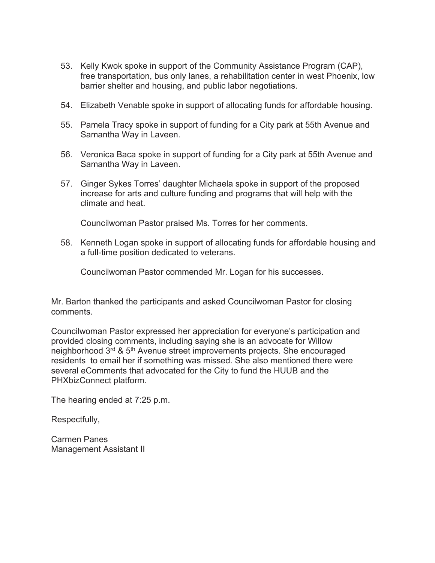- 53. Kelly Kwok spoke in support of the Community Assistance Program (CAP), free transportation, bus only lanes, a rehabilitation center in west Phoenix, low barrier shelter and housing, and public labor negotiations.
- 54. Elizabeth Venable spoke in support of allocating funds for affordable housing.
- 55. Pamela Tracy spoke in support of funding for a City park at 55th Avenue and Samantha Way in Laveen.
- 56. Veronica Baca spoke in support of funding for a City park at 55th Avenue and Samantha Way in Laveen.
- 57. Ginger Sykes Torres' daughter Michaela spoke in support of the proposed increase for arts and culture funding and programs that will help with the climate and heat.

Councilwoman Pastor praised Ms. Torres for her comments.

58. Kenneth Logan spoke in support of allocating funds for affordable housing and a full-time position dedicated to veterans.

Councilwoman Pastor commended Mr. Logan for his successes.

Mr. Barton thanked the participants and asked Councilwoman Pastor for closing comments.

Councilwoman Pastor expressed her appreciation for everyone's participation and provided closing comments, including saying she is an advocate for Willow neighborhood 3rd & 5th Avenue street improvements projects. She encouraged residents to email her if something was missed. She also mentioned there were several eComments that advocated for the City to fund the HUUB and the PHXbizConnect platform.

The hearing ended at 7:25 p.m.

Respectfully,

Carmen Panes Management Assistant II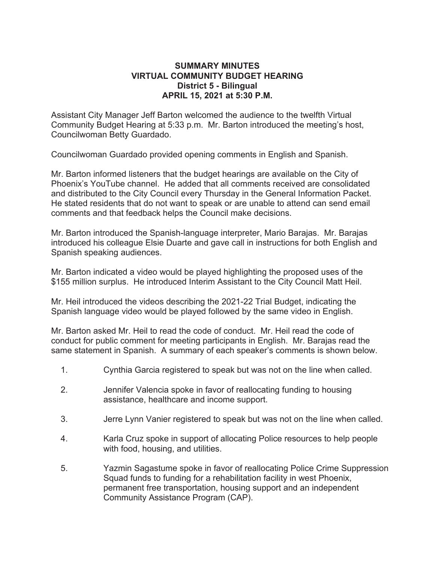#### **SUMMARY MINUTES VIRTUAL COMMUNITY BUDGET HEARING District 5 - Bilingual APRIL 15, 2021 at 5:30 P.M.**

Assistant City Manager Jeff Barton welcomed the audience to the twelfth Virtual Community Budget Hearing at 5:33 p.m. Mr. Barton introduced the meeting's host, Councilwoman Betty Guardado.

Councilwoman Guardado provided opening comments in English and Spanish.

Mr. Barton informed listeners that the budget hearings are available on the City of Phoenix's YouTube channel. He added that all comments received are consolidated and distributed to the City Council every Thursday in the General Information Packet. He stated residents that do not want to speak or are unable to attend can send email comments and that feedback helps the Council make decisions.

Mr. Barton introduced the Spanish-language interpreter, Mario Barajas. Mr. Barajas introduced his colleague Elsie Duarte and gave call in instructions for both English and Spanish speaking audiences.

Mr. Barton indicated a video would be played highlighting the proposed uses of the \$155 million surplus. He introduced Interim Assistant to the City Council Matt Heil.

Mr. Heil introduced the videos describing the 2021-22 Trial Budget, indicating the Spanish language video would be played followed by the same video in English.

Mr. Barton asked Mr. Heil to read the code of conduct. Mr. Heil read the code of conduct for public comment for meeting participants in English. Mr. Barajas read the same statement in Spanish. A summary of each speaker's comments is shown below.

- 1. Cynthia Garcia registered to speak but was not on the line when called.
- 2. Jennifer Valencia spoke in favor of reallocating funding to housing assistance, healthcare and income support.
- 3. Jerre Lynn Vanier registered to speak but was not on the line when called.
- 4. Karla Cruz spoke in support of allocating Police resources to help people with food, housing, and utilities.
- 5. Yazmin Sagastume spoke in favor of reallocating Police Crime Suppression Squad funds to funding for a rehabilitation facility in west Phoenix, permanent free transportation, housing support and an independent Community Assistance Program (CAP).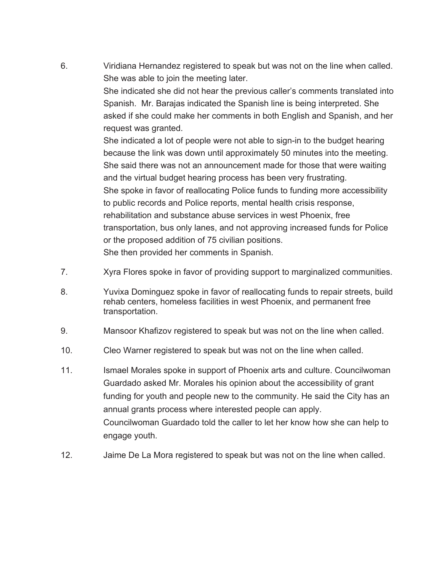Viridiana Hernandez registered to speak but was not on the line when called. She was able to join the meeting later.

> She indicated she did not hear the previous caller's comments translated into Spanish. Mr. Barajas indicated the Spanish line is being interpreted. She asked if she could make her comments in both English and Spanish, and her request was granted.

She indicated a lot of people were not able to sign-in to the budget hearing because the link was down until approximately 50 minutes into the meeting. She said there was not an announcement made for those that were waiting and the virtual budget hearing process has been very frustrating. She spoke in favor of reallocating Police funds to funding more accessibility to public records and Police reports, mental health crisis response, rehabilitation and substance abuse services in west Phoenix, free transportation, bus only lanes, and not approving increased funds for Police or the proposed addition of 75 civilian positions. She then provided her comments in Spanish.

- Xyra Flores spoke in favor of providing support to marginalized communities.
- Yuvixa Dominguez spoke in favor of reallocating funds to repair streets, build rehab centers, homeless facilities in west Phoenix, and permanent free transportation.
- Mansoor Khafizov registered to speak but was not on the line when called.
- Cleo Warner registered to speak but was not on the line when called.
- 11. Ismael Morales spoke in support of Phoenix arts and culture. Councilwoman Guardado asked Mr. Morales his opinion about the accessibility of grant funding for youth and people new to the community. He said the City has an annual grants process where interested people can apply. Councilwoman Guardado told the caller to let her know how she can help to engage youth.
- Jaime De La Mora registered to speak but was not on the line when called.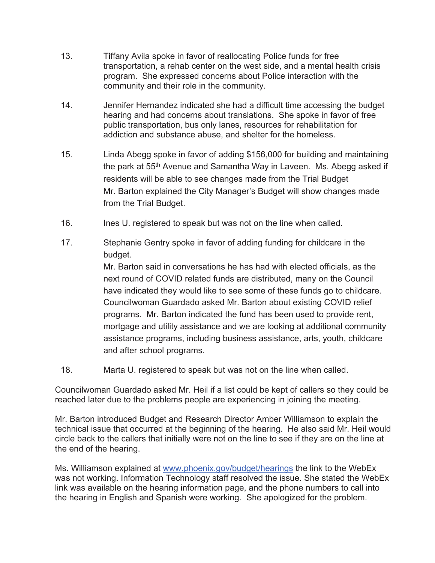- Tiffany Avila spoke in favor of reallocating Police funds for free transportation, a rehab center on the west side, and a mental health crisis program. She expressed concerns about Police interaction with the community and their role in the community.
- Jennifer Hernandez indicated she had a difficult time accessing the budget hearing and had concerns about translations. She spoke in favor of free public transportation, bus only lanes, resources for rehabilitation for addiction and substance abuse, and shelter for the homeless.
- Linda Abegg spoke in favor of adding \$156,000 for building and maintaining the park at 55<sup>th</sup> Avenue and Samantha Way in Laveen. Ms. Abegg asked if residents will be able to see changes made from the Trial Budget Mr. Barton explained the City Manager's Budget will show changes made from the Trial Budget.
- Ines U. registered to speak but was not on the line when called.
- Stephanie Gentry spoke in favor of adding funding for childcare in the budget.

Mr. Barton said in conversations he has had with elected officials, as the next round of COVID related funds are distributed, many on the Council have indicated they would like to see some of these funds go to childcare. Councilwoman Guardado asked Mr. Barton about existing COVID relief programs. Mr. Barton indicated the fund has been used to provide rent, mortgage and utility assistance and we are looking at additional community assistance programs, including business assistance, arts, youth, childcare and after school programs

Marta U. registered to speak but was not on the line when called.

Councilwoman Guardado asked Mr. Heil if a list could be kept of callers so they could be reached later due to the problems people are experiencing in joining the meeting.

Mr. Barton introduced Budget and Research Director Amber Williamson to explain the technical issue that occurred at the beginning of the hearing. He also said Mr. Heil would circle back to the callers that initially were not on the line to see if they are on the line at the end of the hearing.

Ms. Williamson explained at www.phoenix.gov/budget/hearings the link to the WebEx was not working. Information Technology staff resolved the issue. She stated the WebEx link was available on the hearing information page, and the phone numbers to call into the hearing in English and Spanish were working. She apologized for the problem.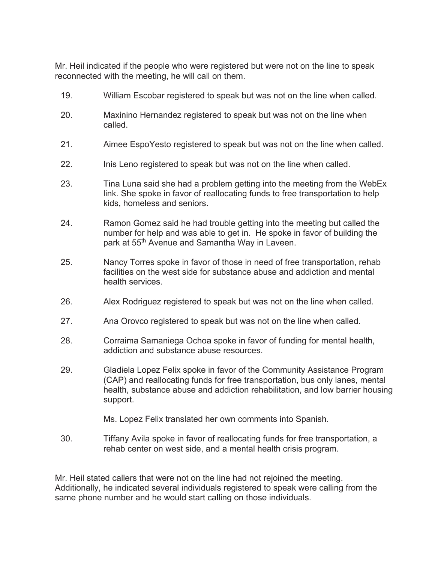Mr. Heil indicated if the people who were registered but were not on the line to speak reconnected with the meeting, he will call on them.

- 19. William Escobar registered to speak but was not on the line when called.
- 20. Maxinino Hernandez registered to speak but was not on the line when called.
- 21. Aimee EspoYesto registered to speak but was not on the line when called.
- 22. Inis Leno registered to speak but was not on the line when called.
- 23. Tina Luna said she had a problem getting into the meeting from the WebEx link. She spoke in favor of reallocating funds to free transportation to help kids, homeless and seniors.
- 24. Ramon Gomez said he had trouble getting into the meeting but called the number for help and was able to get in. He spoke in favor of building the park at 55<sup>th</sup> Avenue and Samantha Way in Laveen.
- 25. Nancy Torres spoke in favor of those in need of free transportation, rehab facilities on the west side for substance abuse and addiction and mental health services.
- 26. Alex Rodriguez registered to speak but was not on the line when called.
- 27. Ana Orovco registered to speak but was not on the line when called.
- 28. Corraima Samaniega Ochoa spoke in favor of funding for mental health, addiction and substance abuse resources.
- 29. Gladiela Lopez Felix spoke in favor of the Community Assistance Program (CAP) and reallocating funds for free transportation, bus only lanes, mental health, substance abuse and addiction rehabilitation, and low barrier housing support.
	- Ms. Lopez Felix translated her own comments into Spanish.
- 30. Tiffany Avila spoke in favor of reallocating funds for free transportation, a rehab center on west side, and a mental health crisis program.

Mr. Heil stated callers that were not on the line had not rejoined the meeting. Additionally, he indicated several individuals registered to speak were calling from the same phone number and he would start calling on those individuals.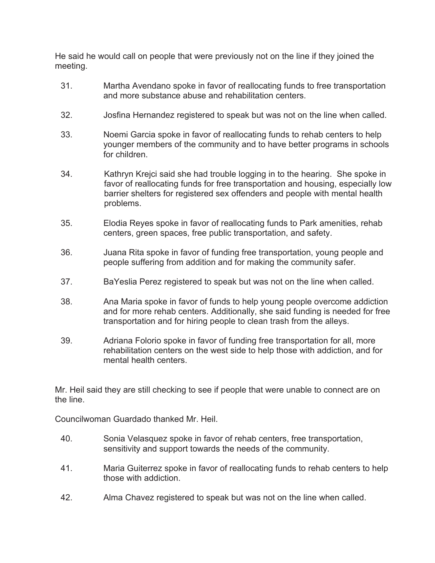He said he would call on people that were previously not on the line if they joined the meeting.

- 31. Martha Avendano spoke in favor of reallocating funds to free transportation and more substance abuse and rehabilitation centers.
- 32. Josfina Hernandez registered to speak but was not on the line when called.
- 33. Noemi Garcia spoke in favor of reallocating funds to rehab centers to help younger members of the community and to have better programs in schools for children.
- 34. Kathryn Krejci said she had trouble logging in to the hearing. She spoke in favor of reallocating funds for free transportation and housing, especially low barrier shelters for registered sex offenders and people with mental health problems.
- 35. Elodia Reyes spoke in favor of reallocating funds to Park amenities, rehab centers, green spaces, free public transportation, and safety.
- 36. Juana Rita spoke in favor of funding free transportation, young people and people suffering from addition and for making the community safer.
- 37. BaYeslia Perez registered to speak but was not on the line when called.
- 38. Ana Maria spoke in favor of funds to help young people overcome addiction and for more rehab centers. Additionally, she said funding is needed for free transportation and for hiring people to clean trash from the alleys.
- 39. Adriana Folorio spoke in favor of funding free transportation for all, more rehabilitation centers on the west side to help those with addiction, and for mental health centers.

Mr. Heil said they are still checking to see if people that were unable to connect are on the line.

Councilwoman Guardado thanked Mr. Heil.

- 40. Sonia Velasquez spoke in favor of rehab centers, free transportation, sensitivity and support towards the needs of the community.
- 41. Maria Guiterrez spoke in favor of reallocating funds to rehab centers to help those with addiction.
- 42. Alma Chavez registered to speak but was not on the line when called.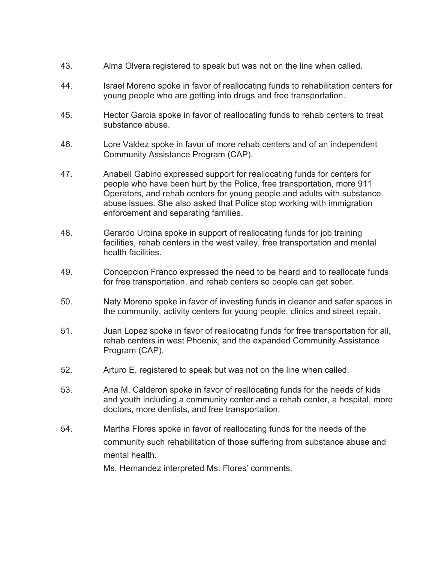- Alma Olvera registered to speak but was not on the line when called.
- Israel Moreno spoke in favor of reallocating funds to rehabilitation centers for young people who are getting into drugs and free transportation.
- Hector Garcia spoke in favor of reallocating funds to rehab centers to treat substance abuse.
- Lore Valdez spoke in favor of more rehab centers and of an independent Community Assistance Program (CAP).
- Anabell Gabino expressed support for reallocating funds for centers for people who have been hurt by the Police, free transportation, more 911 Operators, and rehab centers for young people and adults with substance abuse issues. She also asked that Police stop working with immigration enforcement and separating families.
- Gerardo Urbina spoke in support of reallocating funds for job training facilities, rehab centers in the west valley, free transportation and mental health facilities.
- Concepcion Franco expressed the need to be heard and to reallocate funds for free transportation, and rehab centers so people can get sober.
- Naty Moreno spoke in favor of investing funds in cleaner and safer spaces in the community, activity centers for young people, clinics and street repair.
- Juan Lopez spoke in favor of reallocating funds for free transportation for all, rehab centers in west Phoenix, and the expanded Community Assistance Program (CAP).
- Arturo E. registered to speak but was not on the line when called.
- Ana M. Calderon spoke in favor of reallocating funds for the needs of kids and youth including a community center and a rehab center, a hospital, more doctors, more dentists, and free transportation.
- Martha Flores spoke in favor of reallocating funds for the needs of the community such rehabilitation of those suffering from substance abuse and mental health.

Ms. Hernandez interpreted Ms. Flores' comments.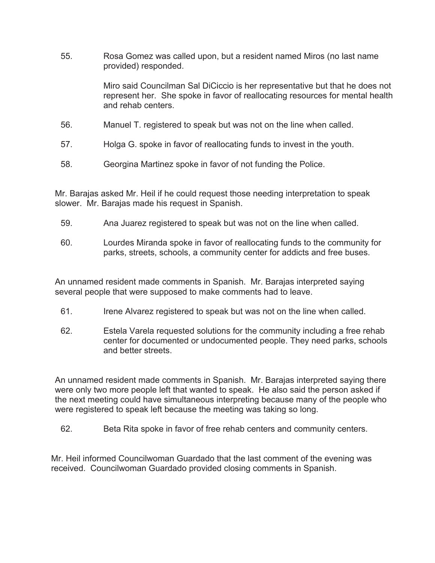55. Rosa Gomez was called upon, but a resident named Miros (no last name provided) responded.

> Miro said Councilman Sal DiCiccio is her representative but that he does not represent her. She spoke in favor of reallocating resources for mental health and rehab centers.

- 56. Manuel T. registered to speak but was not on the line when called.
- 57. Holga G. spoke in favor of reallocating funds to invest in the youth.
- 58. Georgina Martinez spoke in favor of not funding the Police.

Mr. Barajas asked Mr. Heil if he could request those needing interpretation to speak slower. Mr. Barajas made his request in Spanish.

- 59. Ana Juarez registered to speak but was not on the line when called.
- 60. Lourdes Miranda spoke in favor of reallocating funds to the community for parks, streets, schools, a community center for addicts and free buses.

An unnamed resident made comments in Spanish. Mr. Barajas interpreted saying several people that were supposed to make comments had to leave.

- 61. Irene Alvarez registered to speak but was not on the line when called.
- 62. Estela Varela requested solutions for the community including a free rehab center for documented or undocumented people. They need parks, schools and better streets.

An unnamed resident made comments in Spanish. Mr. Barajas interpreted saying there were only two more people left that wanted to speak. He also said the person asked if the next meeting could have simultaneous interpreting because many of the people who were registered to speak left because the meeting was taking so long.

62. Beta Rita spoke in favor of free rehab centers and community centers.

Mr. Heil informed Councilwoman Guardado that the last comment of the evening was received. Councilwoman Guardado provided closing comments in Spanish.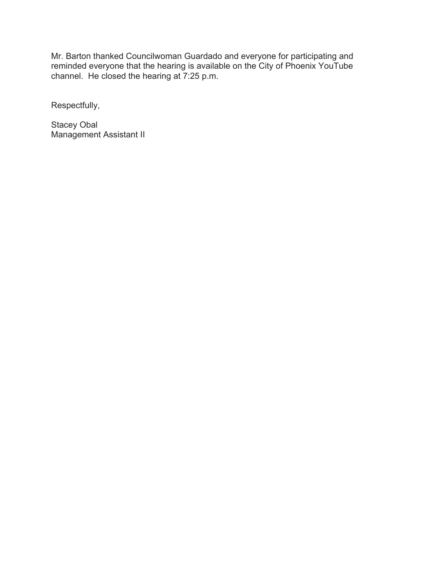Mr. Barton thanked Councilwoman Guardado and everyone for participating and reminded everyone that the hearing is available on the City of Phoenix YouTube channel. He closed the hearing at 7:25 p.m.

Respectfully,

Stacey Obal Management Assistant II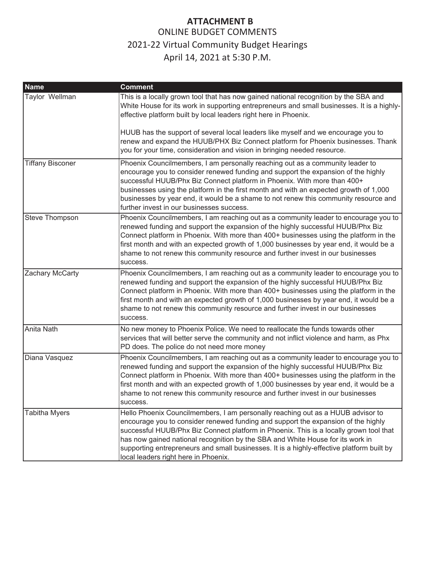<span id="page-18-0"></span>

| <b>Name</b>             | <b>Comment</b>                                                                                                                                                                                                                                                                                                                                                                                                                                                                        |
|-------------------------|---------------------------------------------------------------------------------------------------------------------------------------------------------------------------------------------------------------------------------------------------------------------------------------------------------------------------------------------------------------------------------------------------------------------------------------------------------------------------------------|
| Taylor Wellman          | This is a locally grown tool that has now gained national recognition by the SBA and<br>White House for its work in supporting entrepreneurs and small businesses. It is a highly-<br>effective platform built by local leaders right here in Phoenix.                                                                                                                                                                                                                                |
|                         | HUUB has the support of several local leaders like myself and we encourage you to<br>renew and expand the HUUB/PHX Biz Connect platform for Phoenix businesses. Thank<br>you for your time, consideration and vision in bringing needed resource.                                                                                                                                                                                                                                     |
| <b>Tiffany Bisconer</b> | Phoenix Councilmembers, I am personally reaching out as a community leader to<br>encourage you to consider renewed funding and support the expansion of the highly<br>successful HUUB/Phx Biz Connect platform in Phoenix. With more than 400+<br>businesses using the platform in the first month and with an expected growth of 1,000<br>businesses by year end, it would be a shame to not renew this community resource and<br>further invest in our businesses success.          |
| Steve Thompson          | Phoenix Councilmembers, I am reaching out as a community leader to encourage you to<br>renewed funding and support the expansion of the highly successful HUUB/Phx Biz<br>Connect platform in Phoenix. With more than 400+ businesses using the platform in the<br>first month and with an expected growth of 1,000 businesses by year end, it would be a<br>shame to not renew this community resource and further invest in our businesses<br>success.                              |
| Zachary McCarty         | Phoenix Councilmembers, I am reaching out as a community leader to encourage you to<br>renewed funding and support the expansion of the highly successful HUUB/Phx Biz<br>Connect platform in Phoenix. With more than 400+ businesses using the platform in the<br>first month and with an expected growth of 1,000 businesses by year end, it would be a<br>shame to not renew this community resource and further invest in our businesses<br>success.                              |
| Anita Nath              | No new money to Phoenix Police. We need to reallocate the funds towards other<br>services that will better serve the community and not inflict violence and harm, as Phx<br>PD does. The police do not need more money                                                                                                                                                                                                                                                                |
| Diana Vasquez           | Phoenix Councilmembers, I am reaching out as a community leader to encourage you to<br>renewed funding and support the expansion of the highly successful HUUB/Phx Biz<br>Connect platform in Phoenix. With more than 400+ businesses using the platform in the<br>first month and with an expected growth of 1,000 businesses by year end, it would be a<br>shame to not renew this community resource and further invest in our businesses<br>success.                              |
| Tabitha Myers           | Hello Phoenix Councilmembers, I am personally reaching out as a HUUB advisor to<br>encourage you to consider renewed funding and support the expansion of the highly<br>successful HUUB/Phx Biz Connect platform in Phoenix. This is a locally grown tool that<br>has now gained national recognition by the SBA and White House for its work in<br>supporting entrepreneurs and small businesses. It is a highly-effective platform built by<br>local leaders right here in Phoenix. |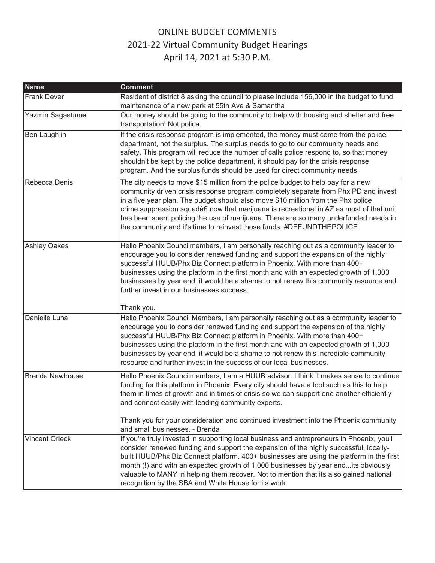| <b>Name</b>            | <b>Comment</b>                                                                                                                                                                                                                                                                                                                                                                                                                                                                                                          |
|------------------------|-------------------------------------------------------------------------------------------------------------------------------------------------------------------------------------------------------------------------------------------------------------------------------------------------------------------------------------------------------------------------------------------------------------------------------------------------------------------------------------------------------------------------|
| <b>Frank Dever</b>     | Resident of district 8 asking the council to please include 156,000 in the budget to fund<br>maintenance of a new park at 55th Ave & Samantha                                                                                                                                                                                                                                                                                                                                                                           |
| Yazmin Sagastume       | Our money should be going to the community to help with housing and shelter and free<br>transportation! Not police.                                                                                                                                                                                                                                                                                                                                                                                                     |
| Ben Laughlin           | If the crisis response program is implemented, the money must come from the police<br>department, not the surplus. The surplus needs to go to our community needs and<br>safety. This program will reduce the number of calls police respond to, so that money<br>shouldn't be kept by the police department, it should pay for the crisis response<br>program. And the surplus funds should be used for direct community needs.                                                                                        |
| Rebecca Denis          | The city needs to move \$15 million from the police budget to help pay for a new<br>community driven crisis response program completely separate from Phx PD and invest<br>in a five year plan. The budget should also move \$10 million from the Phx police<br>crime suppression squad†now that marijuana is recreational in AZ as most of that unit<br>has been spent policing the use of marijuana. There are so many underfunded needs in<br>the community and it's time to reinvest those funds. #DEFUNDTHEPOLICE  |
| <b>Ashley Oakes</b>    | Hello Phoenix Councilmembers, I am personally reaching out as a community leader to<br>encourage you to consider renewed funding and support the expansion of the highly<br>successful HUUB/Phx Biz Connect platform in Phoenix. With more than 400+<br>businesses using the platform in the first month and with an expected growth of 1,000<br>businesses by year end, it would be a shame to not renew this community resource and<br>further invest in our businesses success.<br>Thank you.                        |
| Danielle Luna          | Hello Phoenix Council Members, I am personally reaching out as a community leader to<br>encourage you to consider renewed funding and support the expansion of the highly<br>successful HUUB/Phx Biz Connect platform in Phoenix. With more than 400+<br>businesses using the platform in the first month and with an expected growth of 1,000<br>businesses by year end, it would be a shame to not renew this incredible community<br>resource and further invest in the success of our local businesses.             |
| <b>Brenda Newhouse</b> | Hello Phoenix Councilmembers, I am a HUUB advisor. I think it makes sense to continue<br>funding for this platform in Phoenix. Every city should have a tool such as this to help<br>them in times of growth and in times of crisis so we can support one another efficiently<br>and connect easily with leading community experts.<br>Thank you for your consideration and continued investment into the Phoenix community<br>and small businesses. - Brenda                                                           |
| <b>Vincent Orleck</b>  | If you're truly invested in supporting local business and entrepreneurs in Phoenix, you'll<br>consider renewed funding and support the expansion of the highly successful, locally-<br>built HUUB/Phx Biz Connect platform. 400+ businesses are using the platform in the first<br>month (!) and with an expected growth of 1,000 businesses by year endits obviously<br>valuable to MANY in helping them recover. Not to mention that its also gained national<br>recognition by the SBA and White House for its work. |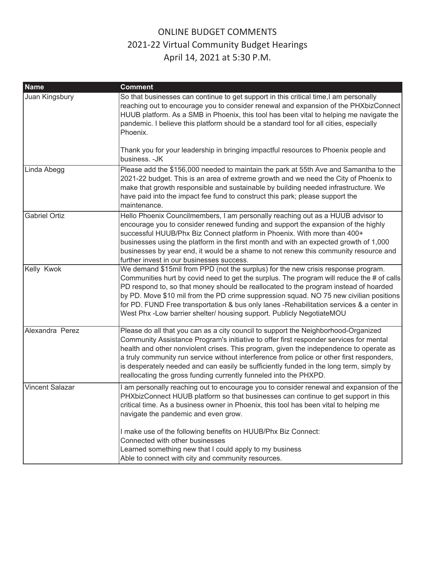| <b>Name</b>            | <b>Comment</b>                                                                                                                                                                                                                                                                                                                                                                                                                                                                                                                        |
|------------------------|---------------------------------------------------------------------------------------------------------------------------------------------------------------------------------------------------------------------------------------------------------------------------------------------------------------------------------------------------------------------------------------------------------------------------------------------------------------------------------------------------------------------------------------|
| Juan Kingsbury         | So that businesses can continue to get support in this critical time,I am personally<br>reaching out to encourage you to consider renewal and expansion of the PHXbizConnect<br>HUUB platform. As a SMB in Phoenix, this tool has been vital to helping me navigate the<br>pandemic. I believe this platform should be a standard tool for all cities, especially<br>Phoenix.                                                                                                                                                         |
|                        | Thank you for your leadership in bringing impactful resources to Phoenix people and<br>business. - JK                                                                                                                                                                                                                                                                                                                                                                                                                                 |
| Linda Abegg            | Please add the \$156,000 needed to maintain the park at 55th Ave and Samantha to the<br>2021-22 budget. This is an area of extreme growth and we need the City of Phoenix to<br>make that growth responsible and sustainable by building needed infrastructure. We<br>have paid into the impact fee fund to construct this park; please support the<br>maintenance.                                                                                                                                                                   |
| <b>Gabriel Ortiz</b>   | Hello Phoenix Councilmembers, I am personally reaching out as a HUUB advisor to<br>encourage you to consider renewed funding and support the expansion of the highly<br>successful HUUB/Phx Biz Connect platform in Phoenix. With more than 400+<br>businesses using the platform in the first month and with an expected growth of 1,000<br>businesses by year end, it would be a shame to not renew this community resource and<br>further invest in our businesses success.                                                        |
| Kelly Kwok             | We demand \$15mil from PPD (not the surplus) for the new crisis response program.<br>Communities hurt by covid need to get the surplus. The program will reduce the # of calls<br>PD respond to, so that money should be reallocated to the program instead of hoarded<br>by PD. Move \$10 mil from the PD crime suppression squad. NO 75 new civilian positions<br>for PD. FUND Free transportation & bus only lanes -Rehabilitation services & a center in<br>West Phx -Low barrier shelter/ housing support. Publicly NegotiateMOU |
| Alexandra Perez        | Please do all that you can as a city council to support the Neighborhood-Organized<br>Community Assistance Program's initiative to offer first responder services for mental<br>health and other nonviolent crises. This program, given the independence to operate as<br>a truly community run service without interference from police or other first responders,<br>is desperately needed and can easily be sufficiently funded in the long term, simply by<br>reallocating the gross funding currently funneled into the PHXPD.   |
| <b>Vincent Salazar</b> | I am personally reaching out to encourage you to consider renewal and expansion of the<br>PHXbizConnect HUUB platform so that businesses can continue to get support in this<br>critical time. As a business owner in Phoenix, this tool has been vital to helping me<br>navigate the pandemic and even grow.                                                                                                                                                                                                                         |
|                        | I make use of the following benefits on HUUB/Phx Biz Connect:<br>Connected with other businesses<br>Learned something new that I could apply to my business<br>Able to connect with city and community resources.                                                                                                                                                                                                                                                                                                                     |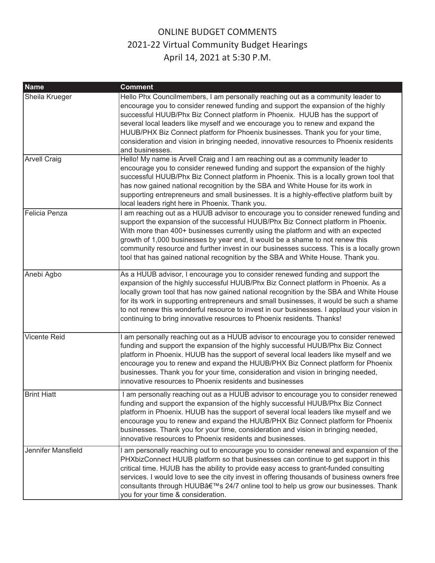| <b>Name</b>               | <b>Comment</b>                                                                                                                                                                                                                                                                                                                                                                                                                                                                                                                        |
|---------------------------|---------------------------------------------------------------------------------------------------------------------------------------------------------------------------------------------------------------------------------------------------------------------------------------------------------------------------------------------------------------------------------------------------------------------------------------------------------------------------------------------------------------------------------------|
| Sheila Krueger            | Hello Phx Councilmembers, I am personally reaching out as a community leader to<br>encourage you to consider renewed funding and support the expansion of the highly<br>successful HUUB/Phx Biz Connect platform in Phoenix. HUUB has the support of<br>several local leaders like myself and we encourage you to renew and expand the<br>HUUB/PHX Biz Connect platform for Phoenix businesses. Thank you for your time,<br>consideration and vision in bringing needed, innovative resources to Phoenix residents<br>and businesses. |
| <b>Arvell Craig</b>       | Hello! My name is Arvell Craig and I am reaching out as a community leader to<br>encourage you to consider renewed funding and support the expansion of the highly<br>successful HUUB/Phx Biz Connect platform in Phoenix. This is a locally grown tool that<br>has now gained national recognition by the SBA and White House for its work in<br>supporting entrepreneurs and small businesses. It is a highly-effective platform built by<br>local leaders right here in Phoenix. Thank you.                                        |
| Felicia Penza             | I am reaching out as a HUUB advisor to encourage you to consider renewed funding and<br>support the expansion of the successful HUUB/Phx Biz Connect platform in Phoenix.<br>With more than 400+ businesses currently using the platform and with an expected<br>growth of 1,000 businesses by year end, it would be a shame to not renew this<br>community resource and further invest in our businesses success. This is a locally grown<br>tool that has gained national recognition by the SBA and White House. Thank you.        |
| Anebi Agbo                | As a HUUB advisor, I encourage you to consider renewed funding and support the<br>expansion of the highly successful HUUB/Phx Biz Connect platform in Phoenix. As a<br>locally grown tool that has now gained national recognition by the SBA and White House<br>for its work in supporting entrepreneurs and small businesses, it would be such a shame<br>to not renew this wonderful resource to invest in our businesses. I applaud your vision in<br>continuing to bring innovative resources to Phoenix residents. Thanks!      |
| <b>Vicente Reid</b>       | I am personally reaching out as a HUUB advisor to encourage you to consider renewed<br>funding and support the expansion of the highly successful HUUB/Phx Biz Connect<br>platform in Phoenix. HUUB has the support of several local leaders like myself and we<br>encourage you to renew and expand the HUUB/PHX Biz Connect platform for Phoenix<br>businesses. Thank you for your time, consideration and vision in bringing needed,<br>innovative resources to Phoenix residents and businesses                                   |
| <b>Brint Hiatt</b>        | I am personally reaching out as a HUUB advisor to encourage you to consider renewed<br>funding and support the expansion of the highly successful HUUB/Phx Biz Connect<br>platform in Phoenix. HUUB has the support of several local leaders like myself and we<br>encourage you to renew and expand the HUUB/PHX Biz Connect platform for Phoenix<br>businesses. Thank you for your time, consideration and vision in bringing needed,<br>innovative resources to Phoenix residents and businesses.                                  |
| <b>Jennifer Mansfield</b> | I am personally reaching out to encourage you to consider renewal and expansion of the<br>PHXbizConnect HUUB platform so that businesses can continue to get support in this<br>critical time. HUUB has the ability to provide easy access to grant-funded consulting<br>services. I would love to see the city invest in offering thousands of business owners free<br>consultants through HUUB's 24/7 online tool to help us grow our businesses. Thank<br>you for your time & consideration.                                       |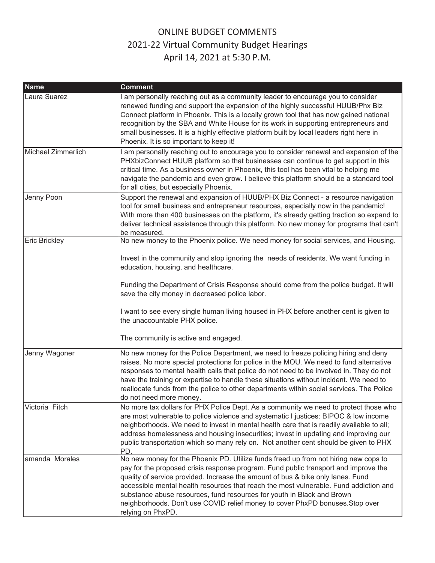| <b>Name</b>          | <b>Comment</b>                                                                                                                                                                                                                                                                                                                                                                                                                                                                                                                         |
|----------------------|----------------------------------------------------------------------------------------------------------------------------------------------------------------------------------------------------------------------------------------------------------------------------------------------------------------------------------------------------------------------------------------------------------------------------------------------------------------------------------------------------------------------------------------|
| Laura Suarez         | I am personally reaching out as a community leader to encourage you to consider<br>renewed funding and support the expansion of the highly successful HUUB/Phx Biz<br>Connect platform in Phoenix. This is a locally grown tool that has now gained national<br>recognition by the SBA and White House for its work in supporting entrepreneurs and<br>small businesses. It is a highly effective platform built by local leaders right here in<br>Phoenix. It is so important to keep it!                                             |
| Michael Zimmerlich   | I am personally reaching out to encourage you to consider renewal and expansion of the<br>PHXbizConnect HUUB platform so that businesses can continue to get support in this<br>critical time. As a business owner in Phoenix, this tool has been vital to helping me<br>navigate the pandemic and even grow. I believe this platform should be a standard tool<br>for all cities, but especially Phoenix.                                                                                                                             |
| Jenny Poon           | Support the renewal and expansion of HUUB/PHX Biz Connect - a resource navigation<br>tool for small business and entrepreneur resources, especially now in the pandemic!<br>With more than 400 businesses on the platform, it's already getting traction so expand to<br>deliver technical assistance through this platform. No new money for programs that can't<br>be measured.                                                                                                                                                      |
| <b>Eric Brickley</b> | No new money to the Phoenix police. We need money for social services, and Housing.<br>Invest in the community and stop ignoring the needs of residents. We want funding in<br>education, housing, and healthcare.<br>Funding the Department of Crisis Response should come from the police budget. It will<br>save the city money in decreased police labor.                                                                                                                                                                          |
|                      | I want to see every single human living housed in PHX before another cent is given to<br>the unaccountable PHX police.<br>The community is active and engaged.                                                                                                                                                                                                                                                                                                                                                                         |
| Jenny Wagoner        | No new money for the Police Department, we need to freeze policing hiring and deny<br>raises. No more special protections for police in the MOU. We need to fund alternative<br>responses to mental health calls that police do not need to be involved in. They do not<br>have the training or expertise to handle these situations without incident. We need to<br>reallocate funds from the police to other departments within social services. The Police<br>do not need more money.                                               |
| Victoria Fitch       | No more tax dollars for PHX Police Dept. As a community we need to protect those who<br>are most vulnerable to police violence and systematic I justices: BIPOC & low income<br>neighborhoods. We need to invest in mental health care that is readily available to all;<br>address homelessness and housing insecurities; invest in updating and improving our<br>public transportation which so many rely on. Not another cent should be given to PHX<br>PD.                                                                         |
| amanda Morales       | No new money for the Phoenix PD. Utilize funds freed up from not hiring new cops to<br>pay for the proposed crisis response program. Fund public transport and improve the<br>quality of service provided. Increase the amount of bus & bike only lanes. Fund<br>accessible mental health resources that reach the most vulnerable. Fund addiction and<br>substance abuse resources, fund resources for youth in Black and Brown<br>neighborhoods. Don't use COVID relief money to cover PhxPD bonuses. Stop over<br>relying on PhxPD. |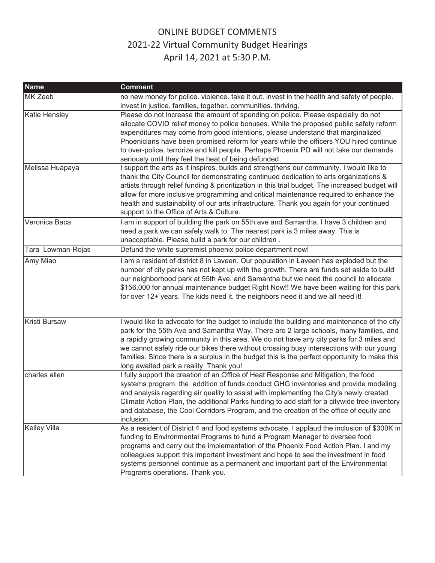| <b>Name</b>       | <b>Comment</b>                                                                                                                                                                                                                                                                                                                                                                                                                                                                                                          |
|-------------------|-------------------------------------------------------------------------------------------------------------------------------------------------------------------------------------------------------------------------------------------------------------------------------------------------------------------------------------------------------------------------------------------------------------------------------------------------------------------------------------------------------------------------|
| MK Zeeb           | no new money for police. violence. take it out. invest in the health and safety of people.                                                                                                                                                                                                                                                                                                                                                                                                                              |
|                   | invest in justice. families, together. communities. thriving.                                                                                                                                                                                                                                                                                                                                                                                                                                                           |
| Katie Hensley     | Please do not increase the amount of spending on police. Please especially do not<br>allocate COVID relief money to police bonuses. While the proposed public safety reform<br>expenditures may come from good intentions, please understand that marginalized<br>Phoenicians have been promised reform for years while the officers YOU hired continue                                                                                                                                                                 |
|                   | to over-police, terrorize and kill people. Perhaps Phoenix PD will not take our demands<br>seriously until they feel the heat of being defunded.                                                                                                                                                                                                                                                                                                                                                                        |
| Melissa Huapaya   | I support the arts as it inspires, builds and strengthens our community. I would like to<br>thank the City Council for demonstrating continued dedication to arts organizations &<br>artists through relief funding & prioritization in this trial budget. The increased budget will<br>allow for more inclusive programming and critical maintenance required to enhance the<br>health and sustainability of our arts infrastructure. Thank you again for your continued<br>support to the Office of Arts & Culture.   |
| Veronica Baca     | I am in support of building the park on 55th ave and Samantha. I have 3 children and<br>need a park we can safely walk to. The nearest park is 3 miles away. This is<br>unacceptable. Please build a park for our children.                                                                                                                                                                                                                                                                                             |
| Tara Lowman-Rojas | Defund the white supremist phoenix police department now!                                                                                                                                                                                                                                                                                                                                                                                                                                                               |
| Amy Miao          | I am a resident of district 8 in Laveen. Our population in Laveen has exploded but the<br>number of city parks has not kept up with the growth. There are funds set aside to build<br>our neighborhood park at 55th Ave. and Samantha but we need the council to allocate<br>\$156,000 for annual maintenance budget Right Now!! We have been waiting for this park<br>for over 12+ years. The kids need it, the neighbors need it and we all need it!                                                                  |
| Kristi Bursaw     | I would like to advocate for the budget to include the building and maintenance of the city<br>park for the 55th Ave and Samantha Way. There are 2 large schools, many families, and<br>a rapidly growing community in this area. We do not have any city parks for 3 miles and<br>we cannot safely ride our bikes there without crossing busy intersections with our young<br>families. Since there is a surplus in the budget this is the perfect opportunity to make this<br>long awaited park a reality. Thank you! |
| charles allen     | I fully support the creation of an Office of Heat Response and Mitigation, the food<br>systems program, the addition of funds conduct GHG inventories and provide modeling<br>and analysis regarding air quality to assist with implementing the City's newly created<br>Climate Action Plan, the additional Parks funding to add staff for a citywide tree inventory<br>and database, the Cool Corridors Program, and the creation of the office of equity and<br>inclusion.                                           |
| Kelley Villa      | As a resident of District 4 and food systems advocate, I applaud the inclusion of \$300K in<br>funding to Environmental Programs to fund a Program Manager to oversee food<br>programs and carry out the implementation of the Phoenix Food Action Plan. I and my<br>colleagues support this important investment and hope to see the investment in food<br>systems personnel continue as a permanent and important part of the Environmental<br>Programs operations. Thank you.                                        |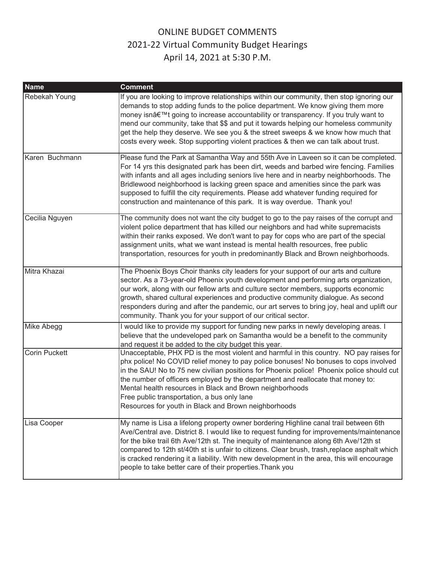| <b>Name</b>          | <b>Comment</b>                                                                                                                                                                                                                                                                                                                                                                                                                                                                                                                        |
|----------------------|---------------------------------------------------------------------------------------------------------------------------------------------------------------------------------------------------------------------------------------------------------------------------------------------------------------------------------------------------------------------------------------------------------------------------------------------------------------------------------------------------------------------------------------|
| Rebekah Young        | If you are looking to improve relationships within our community, then stop ignoring our<br>demands to stop adding funds to the police department. We know giving them more<br>money isn't going to increase accountability or transparency. If you truly want to<br>mend our community, take that \$\$ and put it towards helping our homeless community<br>get the help they deserve. We see you & the street sweeps & we know how much that<br>costs every week. Stop supporting violent practices & then we can talk about trust. |
| Karen Buchmann       | Please fund the Park at Samantha Way and 55th Ave in Laveen so it can be completed.<br>For 14 yrs this designated park has been dirt, weeds and barbed wire fencing. Families<br>with infants and all ages including seniors live here and in nearby neighborhoods. The<br>Bridlewood neighborhood is lacking green space and amenities since the park was<br>supposed to fulfill the city requirements. Please add whatever funding required for<br>construction and maintenance of this park. It is way overdue. Thank you!         |
| Cecilia Nguyen       | The community does not want the city budget to go to the pay raises of the corrupt and<br>violent police department that has killed our neighbors and had white supremacists<br>within their ranks exposed. We don't want to pay for cops who are part of the special<br>assignment units, what we want instead is mental health resources, free public<br>transportation, resources for youth in predominantly Black and Brown neighborhoods.                                                                                        |
| Mitra Khazai         | The Phoenix Boys Choir thanks city leaders for your support of our arts and culture<br>sector. As a 73-year-old Phoenix youth development and performing arts organization,<br>our work, along with our fellow arts and culture sector members, supports economic<br>growth, shared cultural experiences and productive community dialogue. As second<br>responders during and after the pandemic, our art serves to bring joy, heal and uplift our<br>community. Thank you for your support of our critical sector.                  |
| Mike Abegg           | I would like to provide my support for funding new parks in newly developing areas. I<br>believe that the undeveloped park on Samantha would be a benefit to the community<br>and request it be added to the city budget this year.                                                                                                                                                                                                                                                                                                   |
| <b>Corin Puckett</b> | Unacceptable, PHX PD is the most violent and harmful in this country. NO pay raises for<br>phx police! No COVID relief money to pay police bonuses! No bonuses to cops involved<br>in the SAU! No to 75 new civilian positions for Phoenix police! Phoenix police should cut<br>the number of officers employed by the department and reallocate that money to:<br>Mental health resources in Black and Brown neighborhoods<br>Free public transportation, a bus only lane<br>Resources for youth in Black and Brown neighborhoods    |
| Lisa Cooper          | My name is Lisa a lifelong property owner bordering Highline canal trail between 6th<br>Ave/Central ave. District 8. I would like to request funding for improvements/maintenance<br>for the bike trail 6th Ave/12th st. The inequity of maintenance along 6th Ave/12th st<br>compared to 12th st/40th st is unfair to citizens. Clear brush, trash, replace asphalt which<br>is cracked rendering it a liability. With new development in the area, this will encourage<br>people to take better care of their properties. Thank you |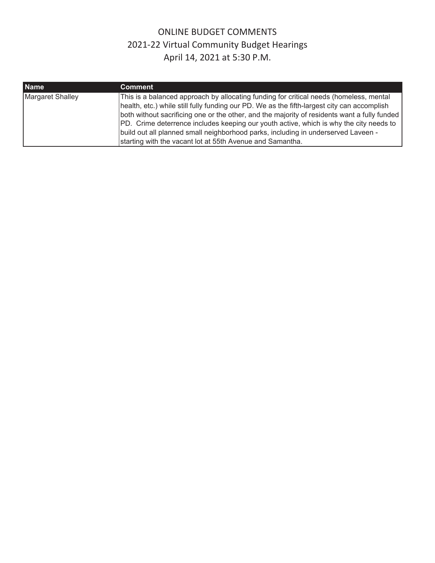| <b>Name</b>             | Comment <sup>1</sup>                                                                                                                                                                                                                                                                                                                                                                                                                                                                                                              |
|-------------------------|-----------------------------------------------------------------------------------------------------------------------------------------------------------------------------------------------------------------------------------------------------------------------------------------------------------------------------------------------------------------------------------------------------------------------------------------------------------------------------------------------------------------------------------|
| <b>Margaret Shalley</b> | This is a balanced approach by allocating funding for critical needs (homeless, mental<br>health, etc.) while still fully funding our PD. We as the fifth-largest city can accomplish<br>both without sacrificing one or the other, and the majority of residents want a fully funded<br>PD. Crime deterrence includes keeping our youth active, which is why the city needs to<br>build out all planned small neighborhood parks, including in underserved Laveen -<br>starting with the vacant lot at 55th Avenue and Samantha. |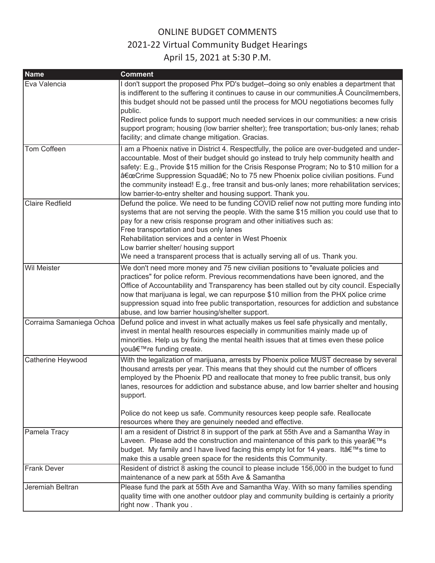| <b>Name</b>              | <b>Comment</b>                                                                                                                                                                                                                                                                                                                                                                                                                                                                                                                          |
|--------------------------|-----------------------------------------------------------------------------------------------------------------------------------------------------------------------------------------------------------------------------------------------------------------------------------------------------------------------------------------------------------------------------------------------------------------------------------------------------------------------------------------------------------------------------------------|
| Eva Valencia             | I don't support the proposed Phx PD's budget--doing so only enables a department that<br>is indifferent to the suffering it continues to cause in our communities. Â Councilmembers,<br>this budget should not be passed until the process for MOU negotiations becomes fully<br>public.<br>Redirect police funds to support much needed services in our communities: a new crisis<br>support program; housing (low barrier shelter); free transportation; bus-only lanes; rehab<br>facility; and climate change mitigation. Gracias.   |
| Tom Coffeen              | I am a Phoenix native in District 4. Respectfully, the police are over-budgeted and under-<br>accountable. Most of their budget should go instead to truly help community health and<br>safety: E.g., Provide \$15 million for the Crisis Response Program; No to \$10 million for a<br>"Crime Suppression Squadâ€; No to 75 new Phoenix police civilian positions. Fund<br>the community instead! E.g., free transit and bus-only lanes; more rehabilitation services;<br>low barrier-to-entry shelter and housing support. Thank you. |
| <b>Claire Redfield</b>   | Defund the police. We need to be funding COVID relief now not putting more funding into<br>systems that are not serving the people. With the same \$15 million you could use that to<br>pay for a new crisis response program and other initiatives such as:<br>Free transportation and bus only lanes<br>Rehabilitation services and a center in West Phoenix<br>Low barrier shelter/ housing support<br>We need a transparent process that is actually serving all of us. Thank you.                                                  |
| <b>Wil Meister</b>       | We don't need more money and 75 new civilian positions to "evaluate policies and<br>practices" for police reform. Previous recommendations have been ignored, and the<br>Office of Accountability and Transparency has been stalled out by city council. Especially<br>now that marijuana is legal, we can repurpose \$10 million from the PHX police crime<br>suppression squad into free public transportation, resources for addiction and substance<br>abuse, and low barrier housing/shelter support.                              |
| Corraima Samaniega Ochoa | Defund police and invest in what actually makes us feel safe physically and mentally,<br>invest in mental health resources especially in communities mainly made up of<br>minorities. Help us by fixing the mental health issues that at times even these police<br>you're funding create.                                                                                                                                                                                                                                              |
| Catherine Heywood        | With the legalization of marijuana, arrests by Phoenix police MUST decrease by several<br>thousand arrests per year. This means that they should cut the number of officers<br>employed by the Phoenix PD and reallocate that money to free public transit, bus only<br>lanes, resources for addiction and substance abuse, and low barrier shelter and housing<br>support.<br>Police do not keep us safe. Community resources keep people safe. Reallocate<br>resources where they are genuinely needed and effective.                 |
| Pamela Tracy             | I am a resident of District 8 in support of the park at 55th Ave and a Samantha Way in<br>Laveen. Please add the construction and maintenance of this park to this year's<br>budget. My family and I have lived facing this empty lot for 14 years. It's time to<br>make this a usable green space for the residents this Community.                                                                                                                                                                                                    |
| <b>Frank Dever</b>       | Resident of district 8 asking the council to please include 156,000 in the budget to fund<br>maintenance of a new park at 55th Ave & Samantha                                                                                                                                                                                                                                                                                                                                                                                           |
| Jeremiah Beltran         | Please fund the park at 55th Ave and Samantha Way. With so many families spending<br>quality time with one another outdoor play and community building is certainly a priority<br>right now. Thank you.                                                                                                                                                                                                                                                                                                                                 |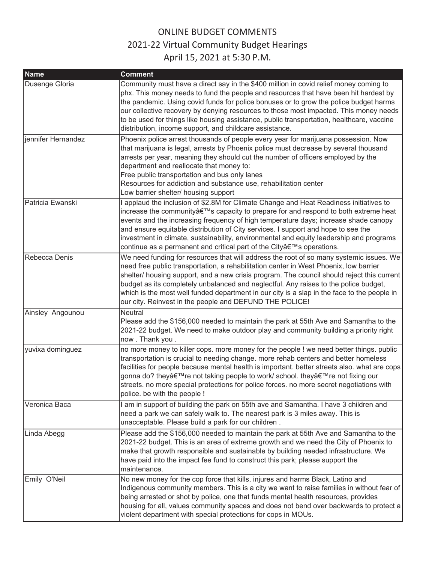| <b>Name</b>        | <b>Comment</b>                                                                                                                                                                                                                                                                                                                                                                                                                                                                                                                   |
|--------------------|----------------------------------------------------------------------------------------------------------------------------------------------------------------------------------------------------------------------------------------------------------------------------------------------------------------------------------------------------------------------------------------------------------------------------------------------------------------------------------------------------------------------------------|
| Dusenge Gloria     | Community must have a direct say in the \$400 million in covid relief money coming to<br>phx. This money needs to fund the people and resources that have been hit hardest by<br>the pandemic. Using covid funds for police bonuses or to grow the police budget harms<br>our collective recovery by denying resources to those most impacted. This money needs<br>to be used for things like housing assistance, public transportation, healthcare, vaccine<br>distribution, income support, and childcare assistance.          |
| jennifer Hernandez | Phoenix police arrest thousands of people every year for marijuana possession. Now<br>that marijuana is legal, arrests by Phoenix police must decrease by several thousand<br>arrests per year, meaning they should cut the number of officers employed by the<br>department and reallocate that money to:<br>Free public transportation and bus only lanes<br>Resources for addiction and substance use, rehabilitation center<br>Low barrier shelter/ housing support                                                          |
| Patricia Ewanski   | I applaud the inclusion of \$2.8M for Climate Change and Heat Readiness initiatives to<br>increase the community's capacity to prepare for and respond to both extreme heat<br>events and the increasing frequency of high temperature days; increase shade canopy<br>and ensure equitable distribution of City services. I support and hope to see the<br>investment in climate, sustainability, environmental and equity leadership and programs<br>continue as a permanent and critical part of the City's operations.        |
| Rebecca Denis      | We need funding for resources that will address the root of so many systemic issues. We<br>need free public transportation, a rehabilitation center in West Phoenix, low barrier<br>shelter/ housing support, and a new crisis program. The council should reject this current<br>budget as its completely unbalanced and neglectful. Any raises to the police budget,<br>which is the most well funded department in our city is a slap in the face to the people in<br>our city. Reinvest in the people and DEFUND THE POLICE! |
| Ainsley Angounou   | <b>Neutral</b><br>Please add the \$156,000 needed to maintain the park at 55th Ave and Samantha to the<br>2021-22 budget. We need to make outdoor play and community building a priority right<br>now. Thank you.                                                                                                                                                                                                                                                                                                                |
| yuvixa dominguez   | no more money to killer cops. more money for the people ! we need better things. public<br>transportation is crucial to needing change. more rehab centers and better homeless<br>facilities for people because mental health is important. better streets also. what are cops<br>gonna do? they're not taking people to work/ school. they're not fixing our<br>streets. no more special protections for police forces. no more secret negotiations with<br>police. be with the people !                                        |
| Veronica Baca      | I am in support of building the park on 55th ave and Samantha. I have 3 children and<br>need a park we can safely walk to. The nearest park is 3 miles away. This is<br>unacceptable. Please build a park for our children.                                                                                                                                                                                                                                                                                                      |
| Linda Abegg        | Please add the \$156,000 needed to maintain the park at 55th Ave and Samantha to the<br>2021-22 budget. This is an area of extreme growth and we need the City of Phoenix to<br>make that growth responsible and sustainable by building needed infrastructure. We<br>have paid into the impact fee fund to construct this park; please support the<br>maintenance.                                                                                                                                                              |
| Emily O'Neil       | No new money for the cop force that kills, injures and harms Black, Latino and<br>Indigenous community members. This is a city we want to raise families in without fear of<br>being arrested or shot by police, one that funds mental health resources, provides<br>housing for all, values community spaces and does not bend over backwards to protect a<br>violent department with special protections for cops in MOUs.                                                                                                     |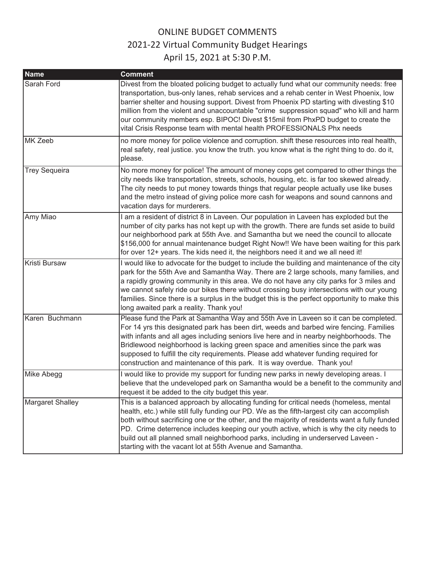| <b>Name</b>             | <b>Comment</b>                                                                                                                                                                                                                                                                                                                                                                                                                                                                                                                       |
|-------------------------|--------------------------------------------------------------------------------------------------------------------------------------------------------------------------------------------------------------------------------------------------------------------------------------------------------------------------------------------------------------------------------------------------------------------------------------------------------------------------------------------------------------------------------------|
| Sarah Ford              | Divest from the bloated policing budget to actually fund what our community needs: free<br>transportation, bus-only lanes, rehab services and a rehab center in West Phoenix, low<br>barrier shelter and housing support. Divest from Phoenix PD starting with divesting \$10<br>million from the violent and unaccountable "crime suppression squad" who kill and harm<br>our community members esp. BIPOC! Divest \$15mil from PhxPD budget to create the<br>vital Crisis Response team with mental health PROFESSIONALS Phx needs |
| MK Zeeb                 | no more money for police violence and corruption. shift these resources into real health,<br>real safety, real justice. you know the truth. you know what is the right thing to do. do it,<br>please.                                                                                                                                                                                                                                                                                                                                |
| <b>Trey Sequeira</b>    | No more money for police! The amount of money cops get compared to other things the<br>city needs like transportation, streets, schools, housing, etc. is far too skewed already.<br>The city needs to put money towards things that regular people actually use like buses<br>and the metro instead of giving police more cash for weapons and sound cannons and<br>vacation days for murderers.                                                                                                                                    |
| Amy Miao                | I am a resident of district 8 in Laveen. Our population in Laveen has exploded but the<br>number of city parks has not kept up with the growth. There are funds set aside to build<br>our neighborhood park at 55th Ave. and Samantha but we need the council to allocate<br>\$156,000 for annual maintenance budget Right Now!! We have been waiting for this park<br>for over 12+ years. The kids need it, the neighbors need it and we all need it!                                                                               |
| Kristi Bursaw           | I would like to advocate for the budget to include the building and maintenance of the city<br>park for the 55th Ave and Samantha Way. There are 2 large schools, many families, and<br>a rapidly growing community in this area. We do not have any city parks for 3 miles and<br>we cannot safely ride our bikes there without crossing busy intersections with our young<br>families. Since there is a surplus in the budget this is the perfect opportunity to make this<br>long awaited park a reality. Thank you!              |
| Karen Buchmann          | Please fund the Park at Samantha Way and 55th Ave in Laveen so it can be completed.<br>For 14 yrs this designated park has been dirt, weeds and barbed wire fencing. Families<br>with infants and all ages including seniors live here and in nearby neighborhoods. The<br>Bridlewood neighborhood is lacking green space and amenities since the park was<br>supposed to fulfill the city requirements. Please add whatever funding required for<br>construction and maintenance of this park. It is way overdue. Thank you!        |
| Mike Abegg              | I would like to provide my support for funding new parks in newly developing areas. I<br>believe that the undeveloped park on Samantha would be a benefit to the community and<br>request it be added to the city budget this year.                                                                                                                                                                                                                                                                                                  |
| <b>Margaret Shalley</b> | This is a balanced approach by allocating funding for critical needs (homeless, mental<br>health, etc.) while still fully funding our PD. We as the fifth-largest city can accomplish<br>both without sacrificing one or the other, and the majority of residents want a fully funded<br>PD. Crime deterrence includes keeping our youth active, which is why the city needs to<br>build out all planned small neighborhood parks, including in underserved Laveen -<br>starting with the vacant lot at 55th Avenue and Samantha.    |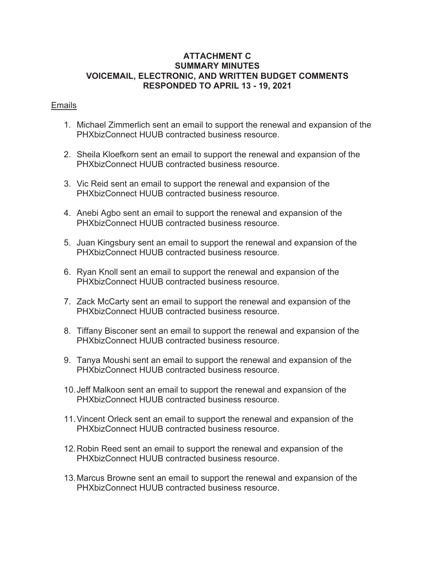#### <span id="page-29-0"></span>**ATTACHMENT C SUMMARY MINUTES VOICEMAIL, ELECTRONIC, AND WRITTEN BUDGET COMMENTS RESPONDED TO APRIL 13 - 19, 2021**

#### Emails

- 1. Michael Zimmerlich sent an email to support the renewal and expansion of the PHXbizConnect HUUB contracted business resource.
- 2. Sheila Kloefkorn sent an email to support the renewal and expansion of the PHXbizConnect HUUB contracted business resource.
- 3. Vic Reid sent an email to support the renewal and expansion of the PHXbizConnect HUUB contracted business resource.
- 4. Anebi Agbo sent an email to support the renewal and expansion of the PHXbizConnect HUUB contracted business resource.
- 5. Juan Kingsbury sent an email to support the renewal and expansion of the PHXbizConnect HUUB contracted business resource.
- 6. Ryan Knoll sent an email to support the renewal and expansion of the PHXbizConnect HUUB contracted business resource.
- 7. Zack McCarty sent an email to support the renewal and expansion of the PHXbizConnect HUUB contracted business resource.
- 8. Tiffany Bisconer sent an email to support the renewal and expansion of the PHXbizConnect HUUB contracted business resource.
- 9. Tanya Moushi sent an email to support the renewal and expansion of the PHXbizConnect HUUB contracted business resource.
- 10. Jeff Malkoon sent an email to support the renewal and expansion of the PHXbizConnect HUUB contracted business resource.
- 11. Vincent Orleck sent an email to support the renewal and expansion of the PHXbizConnect HUUB contracted business resource.
- 12. Robin Reed sent an email to support the renewal and expansion of the PHXbizConnect HUUB contracted business resource.
- 13. Marcus Browne sent an email to support the renewal and expansion of the PHXbizConnect HUUB contracted business resource.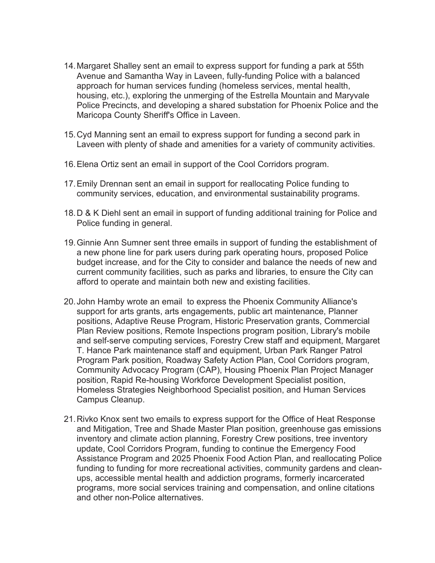- 14. Margaret Shalley sent an email to express support for funding a park at 55th Avenue and Samantha Way in Laveen, fully-funding Police with a balanced approach for human services funding (homeless services, mental health, housing, etc.), exploring the unmerging of the Estrella Mountain and Maryvale Police Precincts, and developing a shared substation for Phoenix Police and the Maricopa County Sheriff's Office in Laveen.
- 15. Cyd Manning sent an email to express support for funding a second park in Laveen with plenty of shade and amenities for a variety of community activities.
- 16. Elena Ortiz sent an email in support of the Cool Corridors program.
- 17. Emily Drennan sent an email in support for reallocating Police funding to community services, education, and environmental sustainability programs.
- 18. D & K Diehl sent an email in support of funding additional training for Police and Police funding in general.
- 19. Ginnie Ann Sumner sent three emails in support of funding the establishment of a new phone line for park users during park operating hours, proposed Police budget increase, and for the City to consider and balance the needs of new and current community facilities, such as parks and libraries, to ensure the City can afford to operate and maintain both new and existing facilities.
- 20. John Hamby wrote an email to express the Phoenix Community Alliance's support for arts grants, arts engagements, public art maintenance, Planner positions, Adaptive Reuse Program, Historic Preservation grants, Commercial Plan Review positions, Remote Inspections program position, Library's mobile and self-serve computing services, Forestry Crew staff and equipment, Margaret T. Hance Park maintenance staff and equipment, Urban Park Ranger Patrol Program Park position, Roadway Safety Action Plan, Cool Corridors program, Community Advocacy Program (CAP), Housing Phoenix Plan Project Manager position, Rapid Re-housing Workforce Development Specialist position, Homeless Strategies Neighborhood Specialist position, and Human Services Campus Cleanup.
- 21. Rivko Knox sent two emails to express support for the Office of Heat Response and Mitigation, Tree and Shade Master Plan position, greenhouse gas emissions inventory and climate action planning, Forestry Crew positions, tree inventory update, Cool Corridors Program, funding to continue the Emergency Food Assistance Program and 2025 Phoenix Food Action Plan, and reallocating Police funding to funding for more recreational activities, community gardens and cleanups, accessible mental health and addiction programs, formerly incarcerated programs, more social services training and compensation, and online citations and other non-Police alternatives.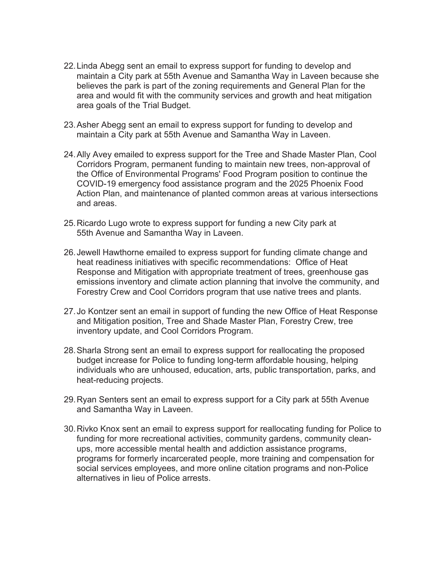- 22. Linda Abegg sent an email to express support for funding to develop and maintain a City park at 55th Avenue and Samantha Way in Laveen because she believes the park is part of the zoning requirements and General Plan for the area and would fit with the community services and growth and heat mitigation area goals of the Trial Budget.
- 23. Asher Abegg sent an email to express support for funding to develop and maintain a City park at 55th Avenue and Samantha Way in Laveen.
- 24. Ally Avey emailed to express support for the Tree and Shade Master Plan, Cool Corridors Program, permanent funding to maintain new trees, non-approval of the Office of Environmental Programs' Food Program position to continue the COVID-19 emergency food assistance program and the 2025 Phoenix Food Action Plan, and maintenance of planted common areas at various intersections and areas.
- 25. Ricardo Lugo wrote to express support for funding a new City park at 55th Avenue and Samantha Way in Laveen.
- 26. Jewell Hawthorne emailed to express support for funding climate change and heat readiness initiatives with specific recommendations: Office of Heat Response and Mitigation with appropriate treatment of trees, greenhouse gas emissions inventory and climate action planning that involve the community, and Forestry Crew and Cool Corridors program that use native trees and plants.
- 27. Jo Kontzer sent an email in support of funding the new Office of Heat Response and Mitigation position, Tree and Shade Master Plan, Forestry Crew, tree inventory update, and Cool Corridors Program.
- 28. Sharla Strong sent an email to express support for reallocating the proposed budget increase for Police to funding long-term affordable housing, helping individuals who are unhoused, education, arts, public transportation, parks, and heat-reducing projects.
- 29. Ryan Senters sent an email to express support for a City park at 55th Avenue and Samantha Way in Laveen.
- 30. Rivko Knox sent an email to express support for reallocating funding for Police to funding for more recreational activities, community gardens, community cleanups, more accessible mental health and addiction assistance programs, programs for formerly incarcerated people, more training and compensation for social services employees, and more online citation programs and non-Police alternatives in lieu of Police arrests.